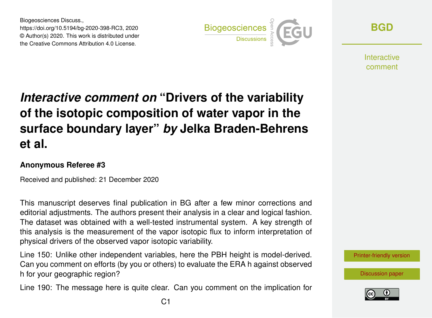Biogeosciences Discuss., https://doi.org/10.5194/bg-2020-398-RC3, 2020 © Author(s) 2020. This work is distributed under the Creative Commons Attribution 4.0 License.



**[BGD](https://bg.copernicus.org/preprints/)**

**Interactive** comment

## *Interactive comment on* **"Drivers of the variability of the isotopic composition of water vapor in the surface boundary layer"** *by* **Jelka Braden-Behrens et al.**

## **Anonymous Referee #3**

Received and published: 21 December 2020

This manuscript deserves final publication in BG after a few minor corrections and editorial adjustments. The authors present their analysis in a clear and logical fashion. The dataset was obtained with a well-tested instrumental system. A key strength of this analysis is the measurement of the vapor isotopic flux to inform interpretation of physical drivers of the observed vapor isotopic variability.

Line 150: Unlike other independent variables, here the PBH height is model-derived. Can you comment on efforts (by you or others) to evaluate the ERA h against observed h for your geographic region?

Line 190: The message here is quite clear. Can you comment on the implication for

[Printer-friendly version](https://bg.copernicus.org/preprints/bg-2020-398/bg-2020-398-RC3-print.pdf)

[Discussion paper](https://bg.copernicus.org/preprints/bg-2020-398)